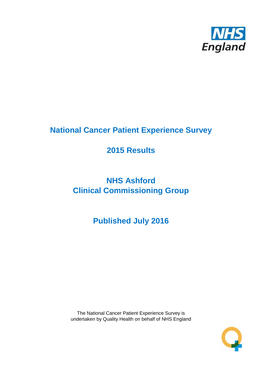

# **National Cancer Patient Experience Survey**

# **2015 Results**

# **NHS Ashford Clinical Commissioning Group**

# **Published July 2016**

The National Cancer Patient Experience Survey is undertaken by Quality Health on behalf of NHS England

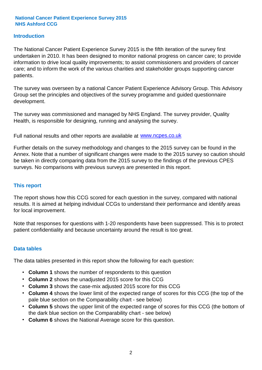#### **Introduction**

The National Cancer Patient Experience Survey 2015 is the fifth iteration of the survey first undertaken in 2010. It has been designed to monitor national progress on cancer care; to provide information to drive local quality improvements; to assist commissioners and providers of cancer care; and to inform the work of the various charities and stakeholder groups supporting cancer patients.

The survey was overseen by a national Cancer Patient Experience Advisory Group. This Advisory Group set the principles and objectives of the survey programme and guided questionnaire development.

The survey was commissioned and managed by NHS England. The survey provider, Quality Health, is responsible for designing, running and analysing the survey.

Full national results and other reports are available at www.ncpes.co.uk

Further details on the survey methodology and changes to the 2015 survey can be found in the Annex. Note that a number of significant changes were made to the 2015 survey so caution should be taken in directly comparing data from the 2015 survey to the findings of the previous CPES surveys. No comparisons with previous surveys are presented in this report.

#### **This report**

The report shows how this CCG scored for each question in the survey, compared with national results. It is aimed at helping individual CCGs to understand their performance and identify areas for local improvement.

Note that responses for questions with 1-20 respondents have been suppressed. This is to protect patient confidentiality and because uncertainty around the result is too great.

#### **Data tables**

The data tables presented in this report show the following for each question:

- **Column 1** shows the number of respondents to this question
- **Column 2** shows the unadjusted 2015 score for this CCG
- **Column 3** shows the case-mix adjusted 2015 score for this CCG
- **Column 4** shows the lower limit of the expected range of scores for this CCG (the top of the pale blue section on the Comparability chart - see below)
- **Column 5** shows the upper limit of the expected range of scores for this CCG (the bottom of the dark blue section on the Comparability chart - see below)
- **Column 6** shows the National Average score for this question.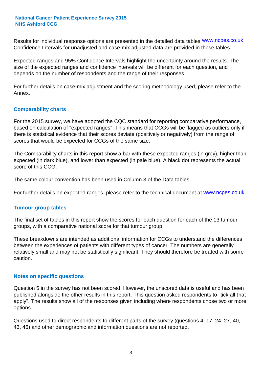Results for individual response options are presented in the detailed data tables **WWW.ncpes.co.uk** Confidence Intervals for unadjusted and case-mix adjusted data are provided in these tables.

Expected ranges and 95% Confidence Intervals highlight the uncertainty around the results. The size of the expected ranges and confidence intervals will be different for each question, and depends on the number of respondents and the range of their responses.

For further details on case-mix adjustment and the scoring methodology used, please refer to the Annex.

#### **Comparability charts**

For the 2015 survey, we have adopted the CQC standard for reporting comparative performance, based on calculation of "expected ranges". This means that CCGs will be flagged as outliers only if there is statistical evidence that their scores deviate (positively or negatively) from the range of scores that would be expected for CCGs of the same size.

The Comparability charts in this report show a bar with these expected ranges (in grey), higher than expected (in dark blue), and lower than expected (in pale blue). A black dot represents the actual score of this CCG.

The same colour convention has been used in Column 3 of the Data tables.

For further details on expected ranges, please refer to the technical document at **www.ncpes.co.uk** 

#### **Tumour group tables**

The final set of tables in this report show the scores for each question for each of the 13 tumour groups, with a comparative national score for that tumour group.

These breakdowns are intended as additional information for CCGs to understand the differences between the experiences of patients with different types of cancer. The numbers are generally relatively small and may not be statistically significant. They should therefore be treated with some caution.

#### **Notes on specific questions**

Question 5 in the survey has not been scored. However, the unscored data is useful and has been published alongside the other results in this report. This question asked respondents to "tick all that apply". The results show all of the responses given including where respondents chose two or more options.

Questions used to direct respondents to different parts of the survey (questions 4, 17, 24, 27, 40, 43, 46) and other demographic and information questions are not reported.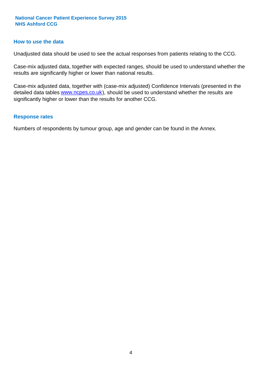#### **How to use the data**

Unadjusted data should be used to see the actual responses from patients relating to the CCG.

Case-mix adjusted data, together with expected ranges, should be used to understand whether the results are significantly higher or lower than national results.

Case-mix adjusted data, together with (case-mix adjusted) Confidence Intervals (presented in the detailed data tables **www.ncpes.co.uk**), should be used to understand whether the results are significantly higher or lower than the results for another CCG.

#### **Response rates**

Numbers of respondents by tumour group, age and gender can be found in the Annex.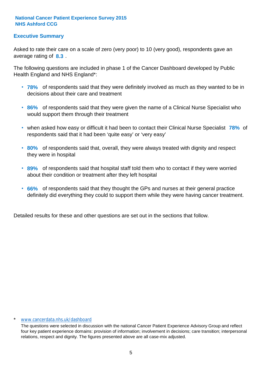#### **Executive Summary**

average rating of 8.3. Asked to rate their care on a scale of zero (very poor) to 10 (very good), respondents gave an

The following questions are included in phase 1 of the Cancer Dashboard developed by Public Health England and NHS England\*:

- **78%** of respondents said that they were definitely involved as much as they wanted to be in decisions about their care and treatment
- **86%** of respondents said that they were given the name of a Clinical Nurse Specialist who would support them through their treatment
- when asked how easy or difficult it had been to contact their Clinical Nurse Specialist 78% of respondents said that it had been 'quite easy' or 'very easy'
- **80%** of respondents said that, overall, they were always treated with dignity and respect they were in hospital
- **89%** of respondents said that hospital staff told them who to contact if they were worried about their condition or treatment after they left hospital
- **66%** of respondents said that they thought the GPs and nurses at their general practice definitely did everything they could to support them while they were having cancer treatment.

Detailed results for these and other questions are set out in the sections that follow.

#### \* www.cancerdata.nhs.uk/dashboard

The questions were selected in discussion with the national Cancer Patient Experience Advisory Group and reflect four key patient experience domains: provision of information; involvement in decisions; care transition; interpersonal relations, respect and dignity. The figures presented above are all case-mix adjusted.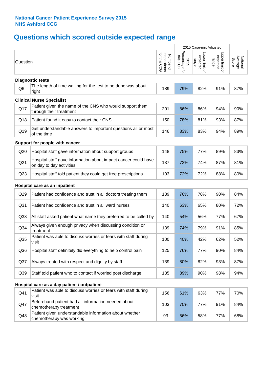# **Questions which scored outside expected range**

|                 |                                                                                            |                                          | 2015 Case-mix Adjusted             |                                     |                                     |                              |
|-----------------|--------------------------------------------------------------------------------------------|------------------------------------------|------------------------------------|-------------------------------------|-------------------------------------|------------------------------|
| Question        |                                                                                            | respondents<br>for this CCG<br>Number of | Percentage for<br>this CCG<br>2015 | Lower limit of<br>expected<br>range | Upper limit of<br>expected<br>range | National<br>Average<br>Score |
|                 | <b>Diagnostic tests</b>                                                                    |                                          |                                    |                                     |                                     |                              |
| Q <sub>6</sub>  | The length of time waiting for the test to be done was about<br>right                      | 189                                      | 79%                                | 82%                                 | 91%                                 | 87%                          |
|                 | <b>Clinical Nurse Specialist</b>                                                           |                                          |                                    |                                     |                                     |                              |
| Q17             | Patient given the name of the CNS who would support them<br>through their treatment        | 201                                      | 86%                                | 86%                                 | 94%                                 | 90%                          |
| Q18             | Patient found it easy to contact their CNS                                                 | 150                                      | 78%                                | 81%                                 | 93%                                 | 87%                          |
| Q19             | Get understandable answers to important questions all or most<br>of the time               | 146                                      | 83%                                | 83%                                 | 94%                                 | 89%                          |
|                 | Support for people with cancer                                                             |                                          |                                    |                                     |                                     |                              |
| Q20             | Hospital staff gave information about support groups                                       | 148                                      | 75%                                | 77%                                 | 89%                                 | 83%                          |
| Q <sub>21</sub> | Hospital staff gave information about impact cancer could have<br>on day to day activities | 137                                      | 72%                                | 74%                                 | 87%                                 | 81%                          |
| Q <sub>23</sub> | Hospital staff told patient they could get free prescriptions                              | 103                                      | 72%                                | 72%                                 | 88%                                 | 80%                          |
|                 | Hospital care as an inpatient                                                              |                                          |                                    |                                     |                                     |                              |
| Q29             | Patient had confidence and trust in all doctors treating them                              | 139                                      | 76%                                | 78%                                 | 90%                                 | 84%                          |
| Q <sub>31</sub> | Patient had confidence and trust in all ward nurses                                        | 140                                      | 63%                                | 65%                                 | 80%                                 | 72%                          |
| Q <sub>33</sub> | All staff asked patient what name they preferred to be called by                           | 140                                      | 54%                                | 56%                                 | 77%                                 | 67%                          |
| Q34             | Always given enough privacy when discussing condition or<br>treatment                      | 139                                      | 74%                                | 79%                                 | 91%                                 | 85%                          |
| Q35             | Patient was able to discuss worries or fears with staff during<br>visit                    | 100                                      | 40%                                | 42%                                 | 62%                                 | 52%                          |
| Q36             | Hospital staff definitely did everything to help control pain                              | 125                                      | 76%                                | 77%                                 | 90%                                 | 84%                          |
| Q <sub>37</sub> | Always treated with respect and dignity by staff                                           | 139                                      | 80%                                | 82%                                 | 93%                                 | 87%                          |
| Q39             | Staff told patient who to contact if worried post discharge                                | 135                                      | 89%                                | 90%                                 | 98%                                 | 94%                          |
|                 | Hospital care as a day patient / outpatient                                                |                                          |                                    |                                     |                                     |                              |
| Q41             | Patient was able to discuss worries or fears with staff during<br>visit                    | 156                                      | 61%                                | 63%                                 | 77%                                 | 70%                          |
| Q47             | Beforehand patient had all information needed about<br>chemotherapy treatment              | 103                                      | 70%                                | 77%                                 | 91%                                 | 84%                          |
| Q48             | Patient given understandable information about whether<br>chemotherapy was working         | 93                                       | 56%                                | 58%                                 | 77%                                 | 68%                          |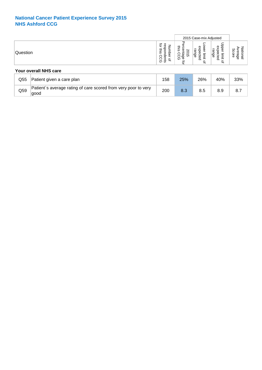|                       |                                                                 |                             | 2015 Case-mix Adjusted<br>┯<br>Φ<br>ھ<br>ē<br>æ<br>⊵<br>ന<br>ന<br>-<br>န္စ<br>Ö<br>Œ<br>-<br>Оı<br>$\overline{\Phi}$<br>−<br>-<br>Ö<br>നാ<br>$\Omega$<br>$\overline{\phantom{0}}$<br>- |   |                              |
|-----------------------|-----------------------------------------------------------------|-----------------------------|----------------------------------------------------------------------------------------------------------------------------------------------------------------------------------------|---|------------------------------|
| Question              | O<br>-<br>≃<br>ō,<br>ന<br>$\sigma$<br>$\circ$<br>-<br>65 G<br>∽ | ≃<br>ـ<br>-<br>ഗ<br>ဂဇ<br>ଵ | $\circ$<br>$\overline{\phantom{0}}$                                                                                                                                                    | ₽ | CD.<br>ິດ<br>ore<br>ω<br>င္စ |
| Your overall NHS care |                                                                 |                             |                                                                                                                                                                                        |   |                              |

| Q55 | Patient given a care plan                                              | 158 | 25% | 26% | 40% | 33% |
|-----|------------------------------------------------------------------------|-----|-----|-----|-----|-----|
| Q59 | Patient's average rating of care scored from very poor to very<br>aood | 200 | 8.3 | 8.5 | 8.9 | 8.  |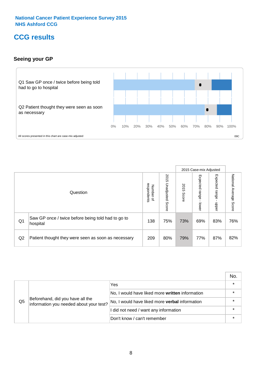### **CCG results**

#### **Seeing your GP**



|    |                                                                |                                         |                             |               | 2015 Case-mix Adjusted     |                            |                        |
|----|----------------------------------------------------------------|-----------------------------------------|-----------------------------|---------------|----------------------------|----------------------------|------------------------|
|    | Question                                                       | respondents<br>Number<br>$\overline{a}$ | 2015<br>Unadjusted<br>Score | 2015<br>Score | Expected<br>range<br>lower | Expected<br>range<br>nbber | National Average Score |
| Q1 | Saw GP once / twice before being told had to go to<br>hospital | 138                                     | 75%                         | 73%           | 69%                        | 83%                        | 76%                    |
| Q2 | Patient thought they were seen as soon as necessary            | 209                                     | 80%                         | 79%           | 77%                        | 87%                        | 82%                    |

|    |                                                                             |                                                 | No. |
|----|-----------------------------------------------------------------------------|-------------------------------------------------|-----|
|    |                                                                             | Yes                                             |     |
|    | Beforehand, did you have all the<br>information you needed about your test? | No, I would have liked more written information |     |
| Q5 |                                                                             | No, I would have liked more verbal information  |     |
|    |                                                                             | I did not need / want any information           |     |
|    |                                                                             | Don't know / can't remember                     |     |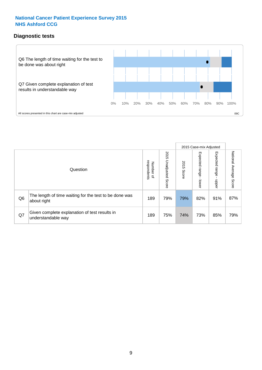#### **Diagnostic tests**



|                |                                                                       |                                       |                             |               | 2015 Case-mix Adjusted  |                         |                           |
|----------------|-----------------------------------------------------------------------|---------------------------------------|-----------------------------|---------------|-------------------------|-------------------------|---------------------------|
|                | Question                                                              | respondents<br>Number<br>$\mathbf{Q}$ | 2015<br>Unadjusted<br>Score | 2015<br>Score | Expected range<br>lower | Expected range<br>nbber | National Average<br>Score |
| Q <sub>6</sub> | The length of time waiting for the test to be done was<br>about right | 189                                   | 79%                         | 79%           | 82%                     | 91%                     | 87%                       |
| Q7             | Given complete explanation of test results in<br>understandable way   | 189                                   | 75%                         | 74%           | 73%                     | 85%                     | 79%                       |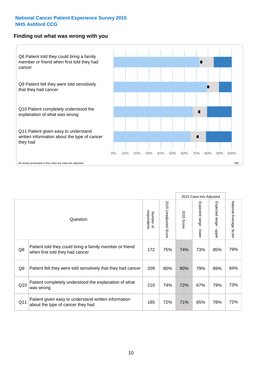#### **Finding out what was wrong with you**



|     |                                                                                            |                          |                       |            | 2015 Case-mix Adjusted |                                         |                           |
|-----|--------------------------------------------------------------------------------------------|--------------------------|-----------------------|------------|------------------------|-----------------------------------------|---------------------------|
|     | Question                                                                                   | respondents<br>Number of | 2015 Unadjusted Score | 2015 Score | Expected range - lower | Expected range<br>$\mathbf{I}$<br>nbber | National Average<br>Score |
| Q8  | Patient told they could bring a family member or friend<br>when first told they had cancer | 172                      | 75%                   | 74%        | 73%                    | 85%                                     | 79%                       |
| Q9  | Patient felt they were told sensitively that they had cancer                               | 209                      | 80%                   | 80%        | 79%                    | 89%                                     | 84%                       |
| Q10 | Patient completely understood the explanation of what<br>was wrong                         | 210                      | 74%                   | 72%        | 67%                    | 79%                                     | 73%                       |
| Q11 | Patient given easy to understand written information<br>about the type of cancer they had  | 185                      | 72%                   | 71%        | 65%                    | 78%                                     | 72%                       |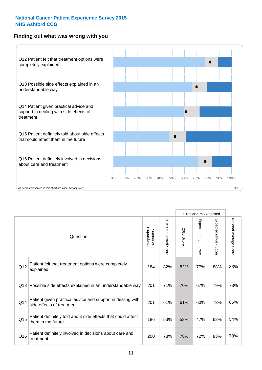#### **Finding out what was wrong with you**



|                 |                                                                                         |                          |                                 |               | 2015 Case-mix Adjusted                    |                        |                        |
|-----------------|-----------------------------------------------------------------------------------------|--------------------------|---------------------------------|---------------|-------------------------------------------|------------------------|------------------------|
| Question        |                                                                                         | Number of<br>respondents | 2015<br><b>Unadjusted Score</b> | 2015<br>Score | Expected range<br>$\blacksquare$<br>lower | Expected range - upper | National Average Score |
| Q12             | Patient felt that treatment options were completely<br>explained                        | 184                      | 82%                             | 82%           | 77%                                       | 88%                    | 83%                    |
| Q13             | Possible side effects explained in an understandable way                                | 201                      | 71%                             | 70%           | 67%                                       | 79%                    | 73%                    |
| Q14             | Patient given practical advice and support in dealing with<br>side effects of treatment | 201                      | 61%                             | 61%           | 60%                                       | 73%                    | 66%                    |
| Q <sub>15</sub> | Patient definitely told about side effects that could affect<br>them in the future      | 186                      | 53%                             | 52%           | 47%                                       | 62%                    | 54%                    |
| Q16             | Patient definitely involved in decisions about care and<br>treatment                    | 200                      | 78%                             | 78%           | 72%                                       | 83%                    | 78%                    |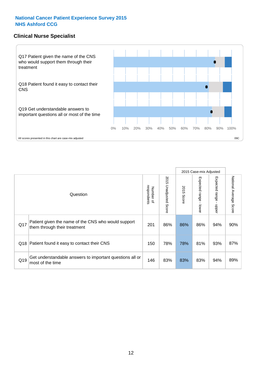#### **Clinical Nurse Specialist**



|     |                                                                                     |                          |                       |               | 2015 Case-mix Adjusted  |                         |                                  |
|-----|-------------------------------------------------------------------------------------|--------------------------|-----------------------|---------------|-------------------------|-------------------------|----------------------------------|
|     | Question                                                                            | Number of<br>respondents | 2015 Unadjusted Score | 2015<br>Score | Expected range<br>lower | Expected range<br>nbber | National Average<br><b>Score</b> |
| Q17 | Patient given the name of the CNS who would support<br>them through their treatment | 201                      | 86%                   | 86%           | 86%                     | 94%                     | 90%                              |
| Q18 | Patient found it easy to contact their CNS                                          | 150                      | 78%                   | 78%           | 81%                     | 93%                     | 87%                              |
| Q19 | Get understandable answers to important questions all or<br>most of the time        | 146                      | 83%                   | 83%           | 83%                     | 94%                     | 89%                              |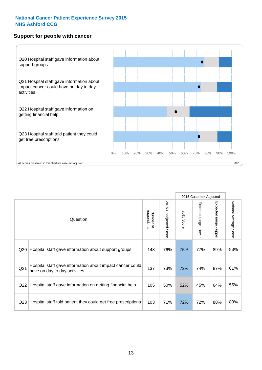#### **Support for people with cancer**



|                 |                                                                                            |                          |                                 |               | 2015 Case-mix Adjusted  |                                         |                        |
|-----------------|--------------------------------------------------------------------------------------------|--------------------------|---------------------------------|---------------|-------------------------|-----------------------------------------|------------------------|
|                 | Question                                                                                   | respondents<br>Number of | 2015<br><b>Unadjusted Score</b> | 2015<br>Score | Expected range<br>lower | Expected range<br>$\mathbf{I}$<br>nbber | National Average Score |
| Q20             | Hospital staff gave information about support groups                                       | 148                      | 76%                             | 75%           | 77%                     | 89%                                     | 83%                    |
| Q <sub>21</sub> | Hospital staff gave information about impact cancer could<br>have on day to day activities | 137                      | 73%                             | 72%           | 74%                     | 87%                                     | 81%                    |
| Q22             | Hospital staff gave information on getting financial help                                  | 105                      | 50%                             | 52%           | 45%                     | 64%                                     | 55%                    |
| Q <sub>23</sub> | Hospital staff told patient they could get free prescriptions                              | 103                      | 71%                             | 72%           | 72%                     | 88%                                     | 80%                    |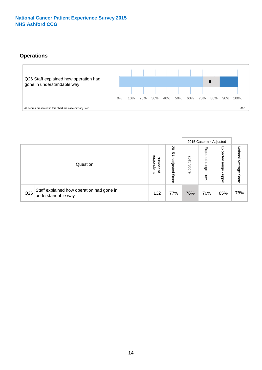#### **Operations**



|     |                                                                 |                                              |                             | 2015 Case-mix Adjusted |                            |                           |                              |
|-----|-----------------------------------------------------------------|----------------------------------------------|-----------------------------|------------------------|----------------------------|---------------------------|------------------------------|
|     | Question                                                        | respondents<br>Number<br>$\overline{\sigma}$ | 2015<br>Unadjusted<br>Score | 2015<br>Score          | Expected<br>range<br>lower | Expected<br>range<br>dddn | National<br>Average<br>Score |
| Q26 | Staff explained how operation had gone in<br>understandable way | 132                                          | 77%                         | 76%                    | 70%                        | 85%                       | 78%                          |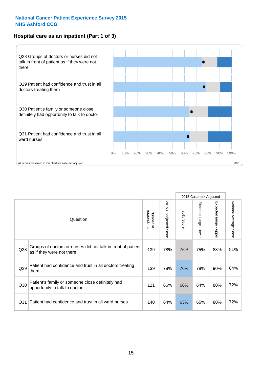#### **Hospital care as an inpatient (Part 1 of 3)**



All scores presented in this chart are case-mix adjusted  $09C$ 

|                 |                                                                                           |                          |                       |               | 2015 Case-mix Adjusted                  |                                           |                        |
|-----------------|-------------------------------------------------------------------------------------------|--------------------------|-----------------------|---------------|-----------------------------------------|-------------------------------------------|------------------------|
|                 | Question                                                                                  | respondents<br>Number of | 2015 Unadjusted Score | 2015<br>Score | Expected range<br>$\mathbf{r}$<br>lower | Expected range<br>$\blacksquare$<br>nbber | National Average Score |
| Q28             | Groups of doctors or nurses did not talk in front of patient<br>as if they were not there | 139                      | 78%                   | 76%           | 75%                                     | 88%                                       | 81%                    |
| Q29             | Patient had confidence and trust in all doctors treating<br>them                          | 139                      | 78%                   | 76%           | 78%                                     | 90%                                       | 84%                    |
| Q30             | Patient's family or someone close definitely had<br>opportunity to talk to doctor         | 121                      | 66%                   | 66%           | 64%                                     | 80%                                       | 72%                    |
| Q <sub>31</sub> | Patient had confidence and trust in all ward nurses                                       | 140                      | 64%                   | 63%           | 65%                                     | 80%                                       | 72%                    |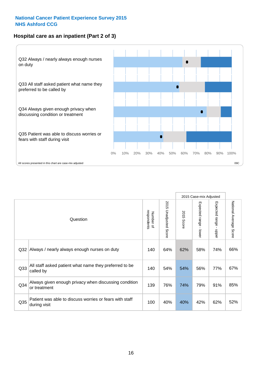#### **Hospital care as an inpatient (Part 2 of 3)**



|                 |                                                                         |     | 2015 Case-mix Adjusted          |               |                                         |                           |                        |
|-----------------|-------------------------------------------------------------------------|-----|---------------------------------|---------------|-----------------------------------------|---------------------------|------------------------|
| Question        |                                                                         |     | 2015<br><b>Unadjusted Score</b> | 2015<br>Score | Expected range<br>$\mathbf{L}$<br>lower | Expected range -<br>nbber | National Average Score |
| Q <sub>32</sub> | Always / nearly always enough nurses on duty                            | 140 | 64%                             | 62%           | 58%                                     | 74%                       | 66%                    |
| Q <sub>33</sub> | All staff asked patient what name they preferred to be<br>called by     | 140 | 54%                             | 54%           | 56%                                     | 77%                       | 67%                    |
| Q34             | Always given enough privacy when discussing condition<br>or treatment   | 139 | 76%                             | 74%           | 79%                                     | 91%                       | 85%                    |
| Q <sub>35</sub> | Patient was able to discuss worries or fears with staff<br>during visit | 100 | 40%                             | 40%           | 42%                                     | 62%                       | 52%                    |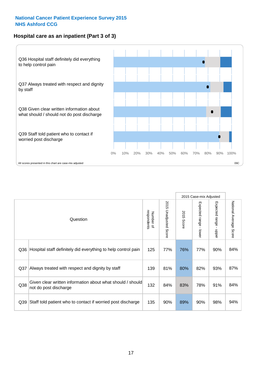#### **Hospital care as an inpatient (Part 3 of 3)**



|          |                                                                                     | 2015 Case-mix Adjusted |                       |                      |                                           |                           |                        |
|----------|-------------------------------------------------------------------------------------|------------------------|-----------------------|----------------------|-------------------------------------------|---------------------------|------------------------|
| Question |                                                                                     |                        | 2015 Unadjusted Score | 2015<br><b>Score</b> | Expected range<br>$\blacksquare$<br>lower | Expected range -<br>nbber | National Average Score |
| Q36      | Hospital staff definitely did everything to help control pain                       | 125                    | 77%                   | 76%                  | 77%                                       | 90%                       | 84%                    |
| Q37      | Always treated with respect and dignity by staff                                    | 139                    | 81%                   | 80%                  | 82%                                       | 93%                       | 87%                    |
| Q38      | Given clear written information about what should / should<br>not do post discharge | 132                    | 84%                   | 83%                  | 78%                                       | 91%                       | 84%                    |
| Q39      | Staff told patient who to contact if worried post discharge                         | 135                    | 90%                   | 89%                  | 90%                                       | 98%                       | 94%                    |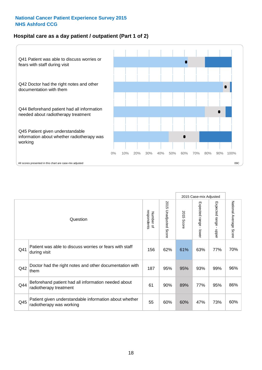#### **Hospital care as a day patient / outpatient (Part 1 of 2)**



|          |                                                                                    |     |                                 | 2015 Case-mix Adjusted |                                           |                                         |                        |
|----------|------------------------------------------------------------------------------------|-----|---------------------------------|------------------------|-------------------------------------------|-----------------------------------------|------------------------|
| Question |                                                                                    |     | 2015<br><b>Unadjusted Score</b> | 2015<br><b>Score</b>   | Expected range<br>$\blacksquare$<br>lower | Expected range<br>$\mathbf{I}$<br>nbber | National Average Score |
| Q41      | Patient was able to discuss worries or fears with staff<br>during visit            | 156 | 62%                             | 61%                    | 63%                                       | 77%                                     | 70%                    |
| Q42      | Doctor had the right notes and other documentation with<br>them                    | 187 | 95%                             | 95%                    | 93%                                       | 99%                                     | 96%                    |
| Q44      | Beforehand patient had all information needed about<br>radiotherapy treatment      | 61  | 90%                             | 89%                    | 77%                                       | 95%                                     | 86%                    |
| Q45      | Patient given understandable information about whether<br>radiotherapy was working | 55  | 60%                             | 60%                    | 47%                                       | 73%                                     | 60%                    |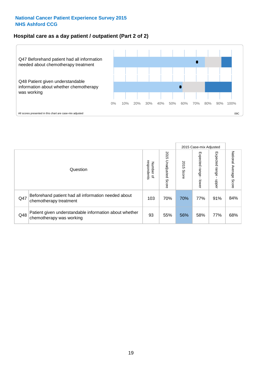#### **Hospital care as a day patient / outpatient (Part 2 of 2)**



|          |                                                                                    | 2015 Case-mix Adjusted                |                             |               |                             |                            |                           |
|----------|------------------------------------------------------------------------------------|---------------------------------------|-----------------------------|---------------|-----------------------------|----------------------------|---------------------------|
| Question |                                                                                    | respondents<br>Number<br>$\mathbf{Q}$ | 2015<br>Unadjusted<br>Score | 2015<br>Score | Expected<br> range<br>lower | Expected<br>range<br>nbber | National Average<br>Score |
| Q47      | Beforehand patient had all information needed about<br>chemotherapy treatment      | 103                                   | 70%                         | 70%           | 77%                         | 91%                        | 84%                       |
| Q48      | Patient given understandable information about whether<br>chemotherapy was working | 93                                    | 55%                         | 56%           | 58%                         | 77%                        | 68%                       |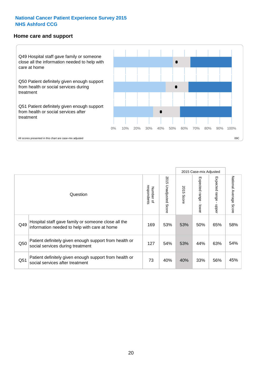#### **Home care and support**



All scores presented in this chart are case-mix adjusted

|                 |                                                                                                     |     |                       | 2015 Case-mix Adjusted |                              |                         |                           |
|-----------------|-----------------------------------------------------------------------------------------------------|-----|-----------------------|------------------------|------------------------------|-------------------------|---------------------------|
| Question        |                                                                                                     |     | 2015 Unadjusted Score | 2015<br>Score          | Expected<br>I range<br>lower | Expected range<br>nbber | National Average<br>Score |
| Q49             | Hospital staff gave family or someone close all the<br>information needed to help with care at home | 169 | 53%                   | 53%                    | 50%                          | 65%                     | 58%                       |
| Q50             | Patient definitely given enough support from health or<br>social services during treatment          | 127 | 54%                   | 53%                    | 44%                          | 63%                     | 54%                       |
| Q <sub>51</sub> | Patient definitely given enough support from health or<br>social services after treatment           | 73  | 40%                   | 40%                    | 33%                          | 56%                     | 45%                       |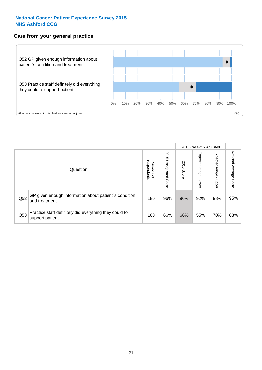#### **Care from your general practice**



|          |                                                                           |                                       |                             |               |                                    | 2015 Case-mix Adjusted     |                           |  |  |
|----------|---------------------------------------------------------------------------|---------------------------------------|-----------------------------|---------------|------------------------------------|----------------------------|---------------------------|--|--|
| Question |                                                                           | respondents<br>Number<br>$\mathbf{Q}$ | 2015<br>Unadjusted<br>Score | 2015<br>Score | Expected<br><b>Irange</b><br>lower | Expected<br>range<br>doper | National Average<br>Score |  |  |
| Q52      | GP given enough information about patient's condition<br>and treatment    | 180                                   | 96%                         | 96%           | 92%                                | 98%                        | 95%                       |  |  |
| Q53      | Practice staff definitely did everything they could to<br>support patient | 160                                   | 66%                         | 66%           | 55%                                | 70%                        | 63%                       |  |  |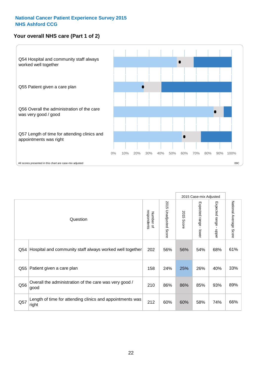#### **Your overall NHS care (Part 1 of 2)**



|     |                                                                    |                          |                          | 2015 Case-mix Adjusted |                                           |                                           |                        |
|-----|--------------------------------------------------------------------|--------------------------|--------------------------|------------------------|-------------------------------------------|-------------------------------------------|------------------------|
|     | Question                                                           | respondents<br>Number of | 2015<br>Unadjusted Score | 2015<br><b>Score</b>   | Expected range<br>$\blacksquare$<br>lower | Expected range<br>$\blacksquare$<br>nbber | National Average Score |
| Q54 | Hospital and community staff always worked well together           | 202                      | 56%                      | 56%                    | 54%                                       | 68%                                       | 61%                    |
| Q55 | Patient given a care plan                                          | 158                      | 24%                      | 25%                    | 26%                                       | 40%                                       | 33%                    |
| Q56 | Overall the administration of the care was very good /<br>good     | 210                      | 86%                      | 86%                    | 85%                                       | 93%                                       | 89%                    |
| Q57 | Length of time for attending clinics and appointments was<br>right | 212                      | 60%                      | 60%                    | 58%                                       | 74%                                       | 66%                    |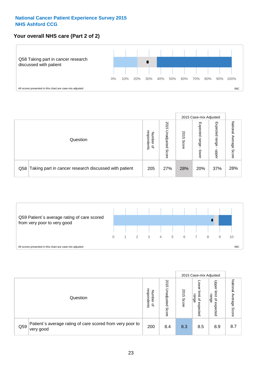#### **Your overall NHS care (Part 2 of 2)**



|          |                                                       |                                              |                             |               |                            | 2015 Case-mix Adjusted     |                        |  |
|----------|-------------------------------------------------------|----------------------------------------------|-----------------------------|---------------|----------------------------|----------------------------|------------------------|--|
| Question |                                                       | respondents<br>Number<br>$\overline{\sigma}$ | 2015<br>Unadjusted<br>Score | 2015<br>Score | Expected<br>range<br>lower | Expected<br>range<br>doper | National Average Score |  |
| Q58      | Taking part in cancer research discussed with patient | 205                                          | 27%                         | 28%           | 20%                        | 37%                        | 28%                    |  |



|     |                                                                        | 2015 Case-mix Adjusted                       |                             |               |                                           |                                                                 |                              |
|-----|------------------------------------------------------------------------|----------------------------------------------|-----------------------------|---------------|-------------------------------------------|-----------------------------------------------------------------|------------------------------|
|     | Question                                                               | respondents<br>Number<br>$\overline{\sigma}$ | 2015<br>Unadjusted<br>Score | 2015<br>Score | OWer<br>limit<br>range<br>਼੍ਰ<br>expected | Upper<br>limit<br>range<br>$\overline{\mathcal{C}}$<br>expected | National<br>Average<br>Score |
| Q59 | Patient's average rating of care scored from very poor to<br>very good | 200                                          | 8.4                         | 8.3           | 8.5                                       | 8.9                                                             | 8.7                          |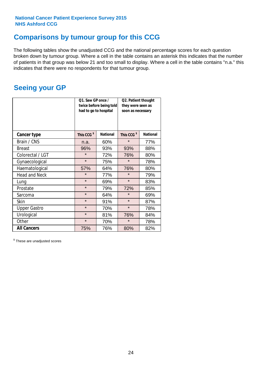### **Comparisons by tumour group for this CCG**

The following tables show the unadjusted CCG and the national percentage scores for each question broken down by tumour group. Where a cell in the table contains an asterisk this indicates that the number of patients in that group was below 21 and too small to display. Where a cell in the table contains "n.a." this indicates that there were no respondents for that tumour group.

### **Seeing your GP**

|                      | Q1. Saw GP once /<br>had to go to hospital | twice before being told | Q2. Patient thought<br>they were seen as<br>soon as necessary |                 |  |
|----------------------|--------------------------------------------|-------------------------|---------------------------------------------------------------|-----------------|--|
| <b>Cancer type</b>   | This CCG <sup>\$</sup>                     | <b>National</b>         | This CCG <sup>\$</sup>                                        | <b>National</b> |  |
| Brain / CNS          | n.a.                                       | 60%                     | $\star$                                                       | 77%             |  |
| <b>Breast</b>        | 96%                                        | 93%                     | 93%                                                           | 88%             |  |
| Colorectal / LGT     | $\star$                                    | 72%                     | 76%                                                           | 80%             |  |
| Gynaecological       | $\star$                                    | 75%                     | $\star$                                                       | 78%             |  |
| Haematological       | 57%                                        | 64%                     | 76%                                                           | 80%             |  |
| <b>Head and Neck</b> | $\star$                                    | 77%                     | $\star$                                                       | 79%             |  |
| Lung                 | $\star$                                    | 69%                     | $\star$                                                       | 83%             |  |
| Prostate             | $\star$                                    | 79%                     | 72%                                                           | 85%             |  |
| Sarcoma              | $\star$                                    | 64%                     | $\star$                                                       | 69%             |  |
| <b>Skin</b>          | $\star$                                    | 91%                     | $\star$                                                       | 87%             |  |
| <b>Upper Gastro</b>  | $\star$                                    | 70%                     | $\star$                                                       | 78%             |  |
| Urological           | $\star$                                    | 81%                     | 76%                                                           | 84%             |  |
| Other                | $\star$                                    | 70%                     | $\star$                                                       | 78%             |  |
| <b>All Cancers</b>   | 75%                                        | 76%                     | 80%                                                           | 82%             |  |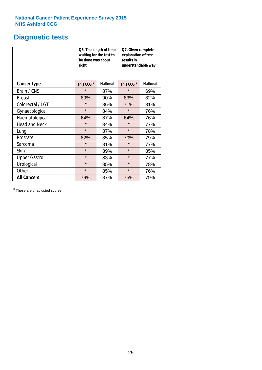### **Diagnostic tests**

|                      | be done was about<br>right | Q6. The length of time<br>waiting for the test to | Q7. Given complete<br>explanation of test<br>results in<br>understandable way |                 |  |  |
|----------------------|----------------------------|---------------------------------------------------|-------------------------------------------------------------------------------|-----------------|--|--|
| <b>Cancer type</b>   | This CCG <sup>\$</sup>     | <b>National</b>                                   | This CCG <sup>\$</sup>                                                        | <b>National</b> |  |  |
| Brain / CNS          | $\star$                    | 87%                                               | $\star$                                                                       | 69%             |  |  |
| <b>Breast</b>        | 89%                        | 90%                                               | 83%                                                                           | 82%             |  |  |
| Colorectal / LGT     | $\star$<br>86%             |                                                   | 71%                                                                           | 81%             |  |  |
| Gynaecological       | $\star$                    | 84%                                               | $\star$                                                                       | 76%             |  |  |
| Haematological       | 64%                        | 87%                                               | 64%                                                                           | 76%             |  |  |
| <b>Head and Neck</b> | $\star$                    | 84%                                               | $\star$                                                                       | 77%             |  |  |
| Lung                 | $\star$                    | 87%                                               | $\star$                                                                       | 78%             |  |  |
| Prostate             | 82%                        | 85%                                               | 70%                                                                           | 79%             |  |  |
| Sarcoma              | $\star$                    | 81%                                               | $\star$                                                                       | 77%             |  |  |
| Skin                 | $\star$                    | 89%                                               | $\star$                                                                       | 85%             |  |  |
| <b>Upper Gastro</b>  | $\star$                    | 83%                                               | $\star$                                                                       | 77%             |  |  |
| Urological           | $\star$                    | 85%                                               | $\star$                                                                       | 78%             |  |  |
| Other                | $\star$                    | 85%                                               | $\star$                                                                       | 76%             |  |  |
| <b>All Cancers</b>   | 79%                        | 87%                                               | 75%                                                                           | 79%             |  |  |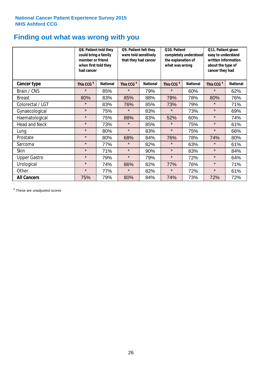### **Finding out what was wrong with you**

|                      | Q8. Patient told they<br>could bring a family<br>member or friend<br>when first told they<br>had cancer |                 | Q9. Patient felt they<br>were told sensitively<br>completely understood<br>that they had cancer<br>the explanation of<br>what was wrong |                 | Q10. Patient           |                 | Q11. Patient given<br>easy to understand<br>written information<br>about the type of<br>cancer they had |                 |
|----------------------|---------------------------------------------------------------------------------------------------------|-----------------|-----------------------------------------------------------------------------------------------------------------------------------------|-----------------|------------------------|-----------------|---------------------------------------------------------------------------------------------------------|-----------------|
| Cancer type          | This CCG <sup>\$</sup>                                                                                  | <b>National</b> | This CCG <sup>\$</sup>                                                                                                                  | <b>National</b> | This CCG <sup>\$</sup> | <b>National</b> | This CCG <sup>\$</sup>                                                                                  | <b>National</b> |
| Brain / CNS          | $\star$                                                                                                 | 85%             | $\star$                                                                                                                                 | 79%             | $\star$                | 60%             | $\star$                                                                                                 | 62%             |
| <b>Breast</b>        | 80%                                                                                                     | 83%             | 85%                                                                                                                                     | 88%             | 78%                    | 78%             | 80%                                                                                                     | 76%             |
| Colorectal / LGT     | $\star$                                                                                                 | 83%             | 76%                                                                                                                                     | 85%             | 73%                    | 79%             | $\star$                                                                                                 | 71%             |
| Gynaecological       | $\star$                                                                                                 | 75%             | $\star$                                                                                                                                 | 83%             | $\star$                | 73%             | $\star$                                                                                                 | 69%             |
| Haematological       | $\star$                                                                                                 | 75%             | 88%                                                                                                                                     | 83%             | 52%                    | 60%             | $\star$                                                                                                 | 74%             |
| <b>Head and Neck</b> | $\star$                                                                                                 | 73%             | $\star$                                                                                                                                 | 85%             | $\star$                | 75%             | $\star$                                                                                                 | 61%             |
| Lung                 | $\star$                                                                                                 | 80%             | $\star$                                                                                                                                 | 83%             | $\star$                | 75%             | $\star$                                                                                                 | 66%             |
| Prostate             | $\star$                                                                                                 | 80%             | 68%                                                                                                                                     | 84%             | 76%                    | 78%             | 74%                                                                                                     | 80%             |
| Sarcoma              | $\star$                                                                                                 | 77%             | $\star$                                                                                                                                 | 82%             | $\star$                | 63%             | $\star$                                                                                                 | 61%             |
| Skin                 | $\star$                                                                                                 | 71%             | $\star$                                                                                                                                 | 90%             | $\star$                | 83%             | $\star$                                                                                                 | 84%             |
| <b>Upper Gastro</b>  | $\star$                                                                                                 | 79%             | $\star$                                                                                                                                 | 79%             | $\star$                | 72%             | $\star$                                                                                                 | 64%             |
| Urological           | $\star$                                                                                                 | 74%             | 86%                                                                                                                                     | 82%             | 77%                    | 76%             | $\star$                                                                                                 | 71%             |
| Other                | $\star$                                                                                                 | 77%             | $\star$                                                                                                                                 | 82%             | $\star$                | 72%             | $\star$                                                                                                 | 61%             |
| <b>All Cancers</b>   | 75%                                                                                                     | 79%             | 80%                                                                                                                                     | 84%             | 74%                    | 73%             | 72%                                                                                                     | 72%             |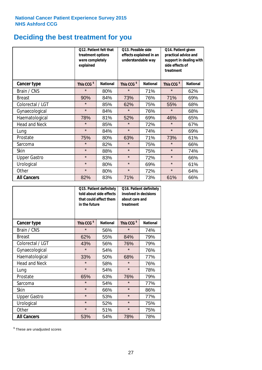# **Deciding the best treatment for you**

|                      | treatment options<br>were completely<br>explained | Q12. Patient felt that | Q13. Possible side<br>understandable way | effects explained in an | Q14. Patient given<br>practical advice and<br>support in dealing with<br>side effects of<br>treatment |                 |  |
|----------------------|---------------------------------------------------|------------------------|------------------------------------------|-------------------------|-------------------------------------------------------------------------------------------------------|-----------------|--|
| <b>Cancer type</b>   | This CCG <sup>\$</sup>                            | <b>National</b>        | This CCG <sup>\$</sup>                   | <b>National</b>         |                                                                                                       | <b>National</b> |  |
| Brain / CNS          | $\star$                                           | 80%                    | $\star$                                  | 71%                     | $\star$                                                                                               | 62%             |  |
| <b>Breast</b>        | 90%                                               | 84%                    | 73%                                      | 76%                     | 71%                                                                                                   | 69%             |  |
| Colorectal / LGT     | $\star$                                           | 85%                    | 62%                                      | 75%                     | 55%                                                                                                   | 68%             |  |
| Gynaecological       | $\star$                                           | 84%                    | $\star$                                  | 76%                     | $\star$                                                                                               | 68%             |  |
| Haematological       | 78%                                               | 81%                    | 52%                                      | 69%                     | 46%                                                                                                   | 65%             |  |
| <b>Head and Neck</b> | $\star$                                           | 85%                    | $\star$                                  | 72%                     | $\star$                                                                                               | 67%             |  |
| Lung                 | $\star$                                           | 84%                    | $\star$                                  | 74%                     | $\star$                                                                                               | 69%             |  |
| Prostate             | 75%                                               | 80%                    | 63%                                      | 71%                     | 73%                                                                                                   | 61%             |  |
| Sarcoma              | $\star$                                           | 82%                    | $\star$                                  | 75%                     | $\star$                                                                                               | 66%             |  |
| Skin                 | $\star$                                           | 88%                    | $\star$                                  | 75%                     | $\star$                                                                                               | 74%             |  |
| <b>Upper Gastro</b>  | $\star$                                           | 83%                    | $\star$                                  | 72%                     | $\star$                                                                                               | 66%             |  |
| Urological           | $\star$                                           | 80%                    | $\star$                                  | 69%                     | $\star$                                                                                               | 61%             |  |
| Other                | $\star$                                           | 80%                    | $\star$                                  | 72%                     | $\star$                                                                                               | 64%             |  |
| <b>All Cancers</b>   | 82%                                               | 83%                    | 71%                                      | 73%                     | 61%                                                                                                   | 66%             |  |

|                      | in the future          | Q15. Patient definitely<br>told about side effects<br>that could affect them | Q16. Patient definitely<br>involved in decisions<br>about care and<br>treatment |                 |  |
|----------------------|------------------------|------------------------------------------------------------------------------|---------------------------------------------------------------------------------|-----------------|--|
| <b>Cancer type</b>   | This CCG <sup>\$</sup> | <b>National</b>                                                              | This CCG <sup>\$</sup>                                                          | <b>National</b> |  |
| Brain / CNS          | $\star$                | 56%                                                                          | $\star$                                                                         | 74%             |  |
| <b>Breast</b>        | 62%                    | 55%                                                                          | 84%                                                                             | 79%             |  |
| Colorectal / LGT     | 43%                    | 56%                                                                          | 76%                                                                             | 79%             |  |
| Gynaecological       | $\star$<br>54%         |                                                                              | $\star$                                                                         | 76%             |  |
| Haematological       | 33%                    | 50%                                                                          | 68%                                                                             | 77%             |  |
| <b>Head and Neck</b> | $\star$                | 58%                                                                          | $\star$                                                                         | 76%             |  |
| Lung                 | $\star$                | 54%                                                                          | $\star$                                                                         | 78%             |  |
| Prostate             | 65%                    | 63%                                                                          | 76%                                                                             | 79%             |  |
| Sarcoma              | $\star$                | 54%                                                                          | $\star$                                                                         | 77%             |  |
| Skin                 | $\star$                | 66%                                                                          | $\star$                                                                         | 86%             |  |
| <b>Upper Gastro</b>  | $\star$                | 53%                                                                          | $\star$                                                                         | 77%             |  |
| Urological           | $\star$                | 52%                                                                          | $\star$                                                                         | 75%             |  |
| Other                | $\star$                | 51%                                                                          | $\star$                                                                         | 75%             |  |
| <b>All Cancers</b>   | 53%                    | 54%                                                                          | 78%                                                                             | 78%             |  |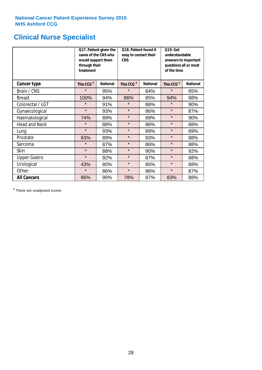### **Clinical Nurse Specialist**

|                      | would support them<br>through their<br>treatment | Q17. Patient given the<br>name of the CNS who | Q18. Patient found it<br>easy to contact their<br><b>CNS</b> |                 | <b>Q19. Get</b><br>understandable<br>answers to important<br>questions all or most<br>of the time |                 |
|----------------------|--------------------------------------------------|-----------------------------------------------|--------------------------------------------------------------|-----------------|---------------------------------------------------------------------------------------------------|-----------------|
| <b>Cancer type</b>   | This CCG <sup>\$</sup>                           | <b>National</b>                               | This CCG <sup>\$</sup>                                       | <b>National</b> | This CCG <sup>\$</sup>                                                                            | <b>National</b> |
| Brain / CNS          | $\star$                                          | 95%                                           | $\star$                                                      | 84%             | $\star$                                                                                           | 85%             |
| <b>Breast</b>        | 100%                                             | 94%                                           | 86%                                                          | 85%             | 94%                                                                                               | 88%             |
| Colorectal / LGT     | $\star$                                          | 91%                                           | $\star$                                                      | 88%             | $\star$                                                                                           | 90%             |
| Gynaecological       | $\star$                                          | 93%                                           | $\star$                                                      | 86%             | $\star$                                                                                           | 87%             |
| Haematological       | 74%                                              | 89%                                           | $\star$<br>89%                                               |                 | $\star$                                                                                           | 90%             |
| <b>Head and Neck</b> | $\star$                                          | 88%                                           | $\star$                                                      | 86%             | $\star$                                                                                           | 88%             |
| Lung                 | $\star$                                          | 93%                                           | $\star$                                                      | 89%             | $\star$                                                                                           | 89%             |
| Prostate             | 83%                                              | 89%                                           | $\star$                                                      | 83%             | $\star$                                                                                           | 88%             |
| Sarcoma              | $\star$                                          | 87%                                           | $\star$                                                      | 86%             | $\star$                                                                                           | 88%             |
| Skin                 | $\star$                                          | 88%                                           | $\star$                                                      | 90%             | $\star$                                                                                           | 92%             |
| <b>Upper Gastro</b>  | $\star$                                          | 92%                                           | $\star$                                                      | 87%             | $\star$                                                                                           | 88%             |
| Urological           | 43%                                              | 80%                                           | $\star$                                                      | 85%             | $\star$                                                                                           | 88%             |
| Other                | $\star$                                          | 86%                                           | $\star$                                                      | 86%             | $\star$                                                                                           | 87%             |
| <b>All Cancers</b>   | 86%                                              | 90%                                           | 78%                                                          | 87%             | 83%                                                                                               | 88%             |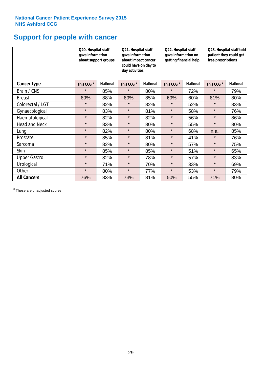# **Support for people with cancer**

|                      | Q20. Hospital staff<br>gave information<br>about support groups |                 | Q21. Hospital staff<br>gave information<br>about impact cancer<br>could have on day to<br>day activities |                 | Q22. Hospital staff<br>gave information on<br>getting financial help |                 | Q23. Hospital staff told<br>patient they could get<br>free prescriptions |                 |
|----------------------|-----------------------------------------------------------------|-----------------|----------------------------------------------------------------------------------------------------------|-----------------|----------------------------------------------------------------------|-----------------|--------------------------------------------------------------------------|-----------------|
| Cancer type          | This CCG <sup>\$</sup>                                          | <b>National</b> | This CCG <sup>\$</sup>                                                                                   | <b>National</b> | This CCG <sup>\$</sup>                                               | <b>National</b> | This CCG <sup>\$</sup>                                                   | <b>National</b> |
| Brain / CNS          | $\star$                                                         | 85%             | $\star$                                                                                                  | 80%             | $\star$                                                              | 72%             | $\star$                                                                  | 79%             |
| <b>Breast</b>        | 89%                                                             | 88%             | 89%                                                                                                      | 85%             | 69%                                                                  | 60%             | 81%                                                                      | 80%             |
| Colorectal / LGT     | $\star$                                                         | 82%             | $\star$                                                                                                  | 82%             | $\star$                                                              | 52%             | $\star$                                                                  | 83%             |
| Gynaecological       | $\star$                                                         | 83%             | $\star$                                                                                                  | 81%             | $\star$                                                              | 58%             | $\star$                                                                  | 76%             |
| Haematological       | $\star$                                                         | 82%             | $\star$                                                                                                  | 82%             | $\star$                                                              | 56%             | $\star$                                                                  | 86%             |
| <b>Head and Neck</b> | $\star$                                                         | 83%             | $\star$                                                                                                  | 80%             | $\star$                                                              | 55%             | $\star$                                                                  | 80%             |
| Lung                 | $\star$                                                         | 82%             | $\star$                                                                                                  | 80%             | $\star$                                                              | 68%             | n.a.                                                                     | 85%             |
| Prostate             | $\star$                                                         | 85%             | $\star$                                                                                                  | 81%             | $\star$                                                              | 41%             | $\star$                                                                  | 76%             |
| Sarcoma              | $\star$                                                         | 82%             | $\star$                                                                                                  | 80%             | $\star$                                                              | 57%             | $\star$                                                                  | 75%             |
| Skin                 | $\star$                                                         | 85%             | $\star$                                                                                                  | 85%             | $\star$                                                              | 51%             | $\star$                                                                  | 65%             |
| <b>Upper Gastro</b>  | $\star$                                                         | 82%             | $\star$                                                                                                  | 78%             | $\star$                                                              | 57%             | $\star$                                                                  | 83%             |
| Urological           | $\star$                                                         | 71%             | $\star$                                                                                                  | 70%             | $\star$                                                              | 33%             | $\star$                                                                  | 69%             |
| Other                | $\star$                                                         | 80%             | $\star$                                                                                                  | 77%             | $\star$                                                              | 53%             | $\star$                                                                  | 79%             |
| <b>All Cancers</b>   | 76%                                                             | 83%             | 73%                                                                                                      | 81%             | 50%                                                                  | 55%             | 71%                                                                      | 80%             |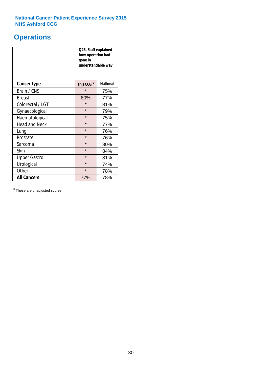### **Operations**

|                      | Q26. Staff explained<br>how operation had<br>gone in<br>understandable way |                 |  |  |  |
|----------------------|----------------------------------------------------------------------------|-----------------|--|--|--|
| <b>Cancer type</b>   | This CCG <sup>\$</sup>                                                     | <b>National</b> |  |  |  |
| Brain / CNS          | $\star$                                                                    | 75%             |  |  |  |
| <b>Breast</b>        | 80%                                                                        | 77%             |  |  |  |
| Colorectal / LGT     | $\star$                                                                    | 81%             |  |  |  |
| Gynaecological       | $\star$                                                                    | 79%             |  |  |  |
| Haematological       | $\star$<br>75%                                                             |                 |  |  |  |
| <b>Head and Neck</b> | $\star$                                                                    | 77%             |  |  |  |
| Lung                 | $\star$                                                                    | 76%             |  |  |  |
| Prostate             | $\star$                                                                    | 76%             |  |  |  |
| Sarcoma              | $\star$                                                                    | 80%             |  |  |  |
| Skin                 | $\star$                                                                    | 84%             |  |  |  |
| <b>Upper Gastro</b>  | $\star$                                                                    | 81%             |  |  |  |
| Urological           | $\star$                                                                    | 74%             |  |  |  |
| Other                | $\star$<br>78%                                                             |                 |  |  |  |
| <b>All Cancers</b>   | 77%<br>78%                                                                 |                 |  |  |  |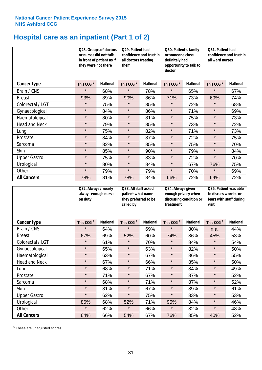# **Hospital care as an inpatient (Part 1 of 2)**

|                      | they were not there    | Q28. Groups of doctors<br>or nurses did not talk<br>in front of patient as if | Q29. Patient had<br>confidence and trust in<br>all doctors treating<br>them |                 | Q30. Patient's family<br>or someone close<br>definitely had<br>opportunity to talk to<br>doctor |                 | Q31. Patient had<br>confidence and trust in I<br>all ward nurses |                 |
|----------------------|------------------------|-------------------------------------------------------------------------------|-----------------------------------------------------------------------------|-----------------|-------------------------------------------------------------------------------------------------|-----------------|------------------------------------------------------------------|-----------------|
| Cancer type          | This CCG <sup>\$</sup> | <b>National</b>                                                               | This CCG <sup>\$</sup>                                                      | <b>National</b> | This CCG <sup>\$</sup>                                                                          | <b>National</b> | This CCG <sup>\$</sup>                                           | <b>National</b> |
| Brain / CNS          | $\star$                | 68%                                                                           | $\star$                                                                     | 78%             | $\star$                                                                                         | 65%             | $\star$                                                          | 67%             |
| <b>Breast</b>        | 93%                    | 89%                                                                           | 90%                                                                         | 86%             | 71%                                                                                             | 73%             | 69%                                                              | 74%             |
| Colorectal / LGT     | $\star$                | 75%                                                                           | $\star$                                                                     | 85%             | $\star$                                                                                         | 72%             | $\star$                                                          | 68%             |
| Gynaecological       | $\star$                | 84%                                                                           | $\star$                                                                     | 86%             | $\star$                                                                                         | 71%             | $\star$                                                          | 69%             |
| Haematological       | $\star$                | 80%                                                                           | $\star$                                                                     | 81%             | $\star$                                                                                         | 75%             | $\star$                                                          | 73%             |
| <b>Head and Neck</b> | $\star$                | 79%                                                                           | $\star$                                                                     | 85%             | $\star$                                                                                         | 73%             | $\star$                                                          | 72%             |
| Lung                 | $\star$                | 75%                                                                           | $\star$                                                                     | 82%             | $\star$                                                                                         | 71%             | $\star$                                                          | 73%             |
| Prostate             | $\star$                | 84%                                                                           | $\star$                                                                     | 87%             | $\star$                                                                                         | 72%             | $\star$                                                          | 75%             |
| Sarcoma              | $\star$                | 82%                                                                           | $\star$                                                                     | 85%             | $\star$                                                                                         | 75%             | $\star$                                                          | 70%             |
| Skin                 | $\star$                | 85%                                                                           | $\star$                                                                     | 90%             | $\star$                                                                                         | 79%             | $\star$                                                          | 84%             |
| <b>Upper Gastro</b>  | $\star$                | 75%                                                                           | $\star$                                                                     | 83%             | $\star$                                                                                         | 72%             | $\star$                                                          | 70%             |
| Urological           | $\star$                | 80%                                                                           | $\star$                                                                     | 84%             | $\star$                                                                                         | 67%             | 76%                                                              | 75%             |
| Other                | $\star$                | 79%                                                                           | $\star$                                                                     | 79%             | $\star$                                                                                         | 70%             | $\star$                                                          | 69%             |
| <b>All Cancers</b>   | 78%                    | 81%                                                                           | 78%                                                                         | 84%             | 66%                                                                                             | 72%             | 64%                                                              | 72%             |

|                      | on duty                | Q32. Always / nearly<br>always enough nurses |                        | Q33. All staff asked<br>patient what name<br>they preferred to be<br>called by |                        | Q34. Always given<br>enough privacy when<br>discussing condition or<br>treatment |                        | Q35. Patient was able<br>to discuss worries or<br>fears with staff during<br>visit |  |
|----------------------|------------------------|----------------------------------------------|------------------------|--------------------------------------------------------------------------------|------------------------|----------------------------------------------------------------------------------|------------------------|------------------------------------------------------------------------------------|--|
| <b>Cancer type</b>   | This CCG <sup>\$</sup> | <b>National</b>                              | This CCG <sup>\$</sup> | <b>National</b>                                                                | This CCG <sup>\$</sup> | <b>National</b>                                                                  | This CCG <sup>\$</sup> | <b>National</b>                                                                    |  |
| Brain / CNS          | $\star$                | 64%                                          | $\star$                | 69%                                                                            | $\star$                | 80%                                                                              | n.a.                   | 44%                                                                                |  |
| <b>Breast</b>        | 67%                    | 69%                                          | 52%                    | 60%                                                                            | 74%                    | 86%                                                                              | 45%                    | 53%                                                                                |  |
| Colorectal / LGT     | $\star$                | 61%                                          | $\star$                | 70%                                                                            | $\star$                | 84%                                                                              | $\star$                | 54%                                                                                |  |
| Gynaecological       | $\star$                | 65%                                          | $\star$                | 63%                                                                            | $\star$                | 82%                                                                              | $\star$                | 50%                                                                                |  |
| Haematological       | $\star$                | 63%                                          | $\star$                | 67%                                                                            | $\star$                | 86%                                                                              | $\star$                | 55%                                                                                |  |
| <b>Head and Neck</b> | $\star$                | 67%                                          | $\star$                | 66%                                                                            | $\star$                | 85%                                                                              | $\star$                | 50%                                                                                |  |
| Lung                 | $\star$                | 68%                                          | $\star$                | 71%                                                                            | $\star$                | 84%                                                                              | $\star$                | 49%                                                                                |  |
| Prostate             | $\star$                | 71%                                          | $\star$                | 67%                                                                            | $\star$                | 87%                                                                              | $\star$                | 52%                                                                                |  |
| Sarcoma              | $\star$                | 68%                                          | $\star$                | 71%                                                                            | $\star$                | 87%                                                                              | $\star$                | 52%                                                                                |  |
| Skin                 | $\star$                | 81%                                          | $\star$                | 67%                                                                            | $\star$                | 89%                                                                              | $\star$                | 61%                                                                                |  |
| <b>Upper Gastro</b>  | $\star$                | 62%                                          | $\star$                | 75%                                                                            | $\star$                | 83%                                                                              | $\star$                | 53%                                                                                |  |
| Urological           | 86%                    | 68%                                          | 52%                    | 71%                                                                            | 95%                    | 84%                                                                              | $\star$                | 46%                                                                                |  |
| Other                | $\star$                | 62%                                          | $\star$                | 66%                                                                            | $\star$                | 82%                                                                              | $\star$                | 48%                                                                                |  |
| <b>All Cancers</b>   | 64%                    | 66%                                          | 54%                    | 67%                                                                            | 76%                    | 85%                                                                              | 40%                    | 52%                                                                                |  |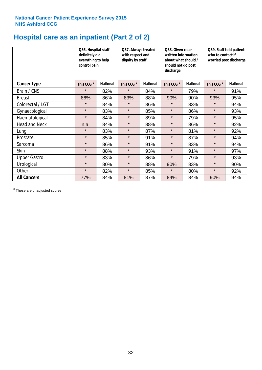# **Hospital care as an inpatient (Part 2 of 2)**

|                      | Q36. Hospital staff<br>definitely did<br>everything to help<br>control pain |                 | Q37. Always treated<br>with respect and<br>dignity by staff |                 | Q38. Given clear<br>written information<br>about what should /<br>should not do post<br>discharge |                 | Q39. Staff told patient<br>who to contact if<br>worried post discharge |                 |
|----------------------|-----------------------------------------------------------------------------|-----------------|-------------------------------------------------------------|-----------------|---------------------------------------------------------------------------------------------------|-----------------|------------------------------------------------------------------------|-----------------|
| Cancer type          | This CCG <sup>\$</sup>                                                      | <b>National</b> | This CCG <sup>\$</sup>                                      | <b>National</b> | This CCG <sup>\$</sup>                                                                            | <b>National</b> | This CCG <sup>\$</sup>                                                 | <b>National</b> |
| Brain / CNS          | $\star$                                                                     | 82%             | $\star$                                                     | 84%             | $\star$                                                                                           | 79%             | $\star$                                                                | 91%             |
| <b>Breast</b>        | 86%                                                                         | 86%             | 83%                                                         | 88%             | 90%                                                                                               | 90%             | 93%                                                                    | 95%             |
| Colorectal / LGT     | $\star$                                                                     | 84%             | $\star$                                                     | 86%             | $\star$                                                                                           | 83%             | $\star$                                                                | 94%             |
| Gynaecological       | $\star$                                                                     | 83%             | $\star$                                                     | 85%             | $\star$                                                                                           | 86%             | $\star$                                                                | 93%             |
| Haematological       | $\star$                                                                     | 84%             | $\star$                                                     | 89%             | $\star$                                                                                           | 79%             | $\star$                                                                | 95%             |
| <b>Head and Neck</b> | n.a.                                                                        | 84%             | $\star$                                                     | 88%             | $\star$                                                                                           | 86%             | $\star$                                                                | 92%             |
| Lung                 | $\star$                                                                     | 83%             | $\star$                                                     | 87%             | $\star$                                                                                           | 81%             | $\star$                                                                | 92%             |
| Prostate             | $\star$                                                                     | 85%             | $\star$                                                     | 91%             | $\star$                                                                                           | 87%             | $\star$                                                                | 94%             |
| Sarcoma              | $\star$                                                                     | 86%             | $\star$                                                     | 91%             | $\star$                                                                                           | 83%             | $\star$                                                                | 94%             |
| Skin                 | $\star$                                                                     | 88%             | $\star$                                                     | 93%             | $\star$                                                                                           | 91%             | $\star$                                                                | 97%             |
| <b>Upper Gastro</b>  | $\star$                                                                     | 83%             | $\star$                                                     | 86%             | $\star$                                                                                           | 79%             | $\star$                                                                | 93%             |
| Urological           | $\star$                                                                     | 80%             | $\star$                                                     | 88%             | 90%                                                                                               | 83%             | $\star$                                                                | 90%             |
| Other                | $\star$                                                                     | 82%             | $\star$                                                     | 85%             | $\star$                                                                                           | 80%             | $\star$                                                                | 92%             |
| <b>All Cancers</b>   | 77%                                                                         | 84%             | 81%                                                         | 87%             | 84%                                                                                               | 84%             | 90%                                                                    | 94%             |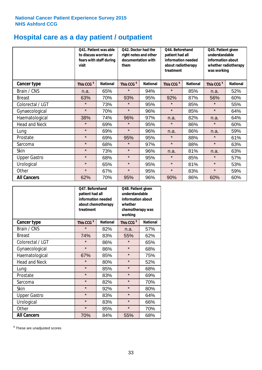# **Hospital care as a day patient / outpatient**

|                      | to discuss worries or<br>visit | Q42. Doctor had the<br>Q41. Patient was able<br>right notes and other<br>documentation with<br>fears with staff during<br>them |                        | Q44. Beforehand<br>patient had all<br>information needed<br>about radiotherapy<br>treatment |                        | Q45. Patient given<br>understandable<br>information about<br>whether radiotherapy<br>was working |                        |                 |
|----------------------|--------------------------------|--------------------------------------------------------------------------------------------------------------------------------|------------------------|---------------------------------------------------------------------------------------------|------------------------|--------------------------------------------------------------------------------------------------|------------------------|-----------------|
| Cancer type          | This CCG <sup>\$</sup>         | <b>National</b>                                                                                                                | This CCG <sup>\$</sup> | <b>National</b>                                                                             | This CCG <sup>\$</sup> | <b>National</b>                                                                                  | This CCG <sup>\$</sup> | <b>National</b> |
| Brain / CNS          | n.a.                           | 65%                                                                                                                            | $\star$                | 94%                                                                                         | $\star$                | 85%                                                                                              | n.a.                   | 52%             |
| <b>Breast</b>        | 63%                            | 70%                                                                                                                            | 93%                    | 95%                                                                                         | 92%                    | 87%                                                                                              | 56%                    | 60%             |
| Colorectal / LGT     | $\star$                        | 73%                                                                                                                            | $\star$                | 95%                                                                                         | $\star$                | 85%                                                                                              | $\star$                | 55%             |
| Gynaecological       | $\star$                        | 70%                                                                                                                            | $\star$                | 96%                                                                                         | $\star$                | 85%                                                                                              | $\star$                | 64%             |
| Haematological       | 38%                            | 74%                                                                                                                            | 96%                    | 97%                                                                                         | n.a.                   | 82%                                                                                              | n.a.                   | 64%             |
| <b>Head and Neck</b> | $\star$                        | 69%                                                                                                                            | $\star$                | 95%                                                                                         | $\star$                | 86%                                                                                              | $\star$                | 60%             |
| Lung                 | $\star$                        | 69%                                                                                                                            | $\star$                | 96%                                                                                         | n.a.                   | 86%                                                                                              | n.a.                   | 59%             |
| Prostate             | $\star$                        | 69%                                                                                                                            | 95%                    | 95%                                                                                         | $\star$                | 88%                                                                                              | $\star$                | 61%             |
| Sarcoma              | $\star$                        | 68%                                                                                                                            | $\star$                | 97%                                                                                         | $\star$                | 88%                                                                                              | $\star$                | 63%             |
| Skin                 | $\star$                        | 73%                                                                                                                            | $\star$                | 96%                                                                                         | n.a.                   | 81%                                                                                              | n.a.                   | 63%             |
| <b>Upper Gastro</b>  | $\star$                        | 68%                                                                                                                            | $\star$                | 95%                                                                                         | $\star$                | 85%                                                                                              | $\star$                | 57%             |
| Urological           | $\star$                        | 65%                                                                                                                            | $\star$                | 95%                                                                                         | $\star$                | 81%                                                                                              | $\star$                | 53%             |
| Other                | $\star$                        | 67%                                                                                                                            | $\star$                | 95%                                                                                         | $\star$                | 83%                                                                                              | $\star$                | 59%             |
| <b>All Cancers</b>   | 62%                            | 70%                                                                                                                            | 95%                    | 96%                                                                                         | 90%                    | 86%                                                                                              | 60%                    | 60%             |

|                      | O47. Beforehand<br>patient had all<br>information needed<br>treatment | about chemotherapy | Q48. Patient given<br>understandable<br>information about<br>whether<br>chemotherapy was<br>working |                 |  |
|----------------------|-----------------------------------------------------------------------|--------------------|-----------------------------------------------------------------------------------------------------|-----------------|--|
| <b>Cancer type</b>   | This CCG <sup>\$</sup>                                                | <b>National</b>    | This CCG <sup>\$</sup>                                                                              | <b>National</b> |  |
| Brain / CNS          | $\star$                                                               | 82%                | n.a.                                                                                                | 57%             |  |
| <b>Breast</b>        | 74%                                                                   | 83%                | 55%                                                                                                 | 62%             |  |
| Colorectal / LGT     | $\star$                                                               | 86%                | $\star$                                                                                             | 65%             |  |
| Gynaecological       | $\star$                                                               | 86%                | $\star$                                                                                             | 68%             |  |
| Haematological       | 85%<br>67%                                                            |                    | $\star$                                                                                             | 75%             |  |
| <b>Head and Neck</b> | $\star$                                                               | 80%                | $\star$                                                                                             | 52%             |  |
| Lung                 | $\star$                                                               | 85%                | $\star$                                                                                             | 68%             |  |
| Prostate             | $\star$                                                               | 83%                | $\star$                                                                                             | 69%             |  |
| Sarcoma              | $\star$                                                               | 82%                | $\star$                                                                                             | 70%             |  |
| Skin                 | $\star$                                                               | 92%                | $\star$                                                                                             | 80%             |  |
| <b>Upper Gastro</b>  | $\star$                                                               | 83%                | $\star$                                                                                             | 64%             |  |
| Urological           | $\star$                                                               | 83%                | $\star$                                                                                             | 66%             |  |
| Other                | $\star$                                                               | 85%                | $\star$                                                                                             | 70%             |  |
| <b>All Cancers</b>   | 70%                                                                   | 84%                | 55%                                                                                                 | 68%             |  |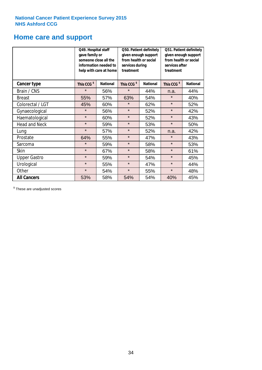### **Home care and support**

|                      |                        | Q49. Hospital staff<br>Q50. Patient definitely<br>given enough support<br>gave family or<br>from health or social<br>someone close all the<br>information needed to<br>services during<br>treatment<br>help with care at home |                        | Q51. Patient definitely<br>given enough support<br>from health or social<br>services after<br>treatment |                        |                 |
|----------------------|------------------------|-------------------------------------------------------------------------------------------------------------------------------------------------------------------------------------------------------------------------------|------------------------|---------------------------------------------------------------------------------------------------------|------------------------|-----------------|
| <b>Cancer type</b>   | This CCG <sup>\$</sup> | <b>National</b>                                                                                                                                                                                                               | This CCG <sup>\$</sup> | <b>National</b>                                                                                         | This CCG <sup>\$</sup> | <b>National</b> |
| Brain / CNS          | $\star$                | 56%                                                                                                                                                                                                                           | $\star$                | 44%                                                                                                     | n.a.                   | 44%             |
| <b>Breast</b>        | 55%                    | 57%                                                                                                                                                                                                                           | 63%                    | 54%                                                                                                     | $\star$                | 40%             |
| Colorectal / LGT     | 45%                    | 60%                                                                                                                                                                                                                           | $\star$                | 62%                                                                                                     | $\star$                | 52%             |
| Gynaecological       | $\star$                | 56%                                                                                                                                                                                                                           | $\star$                | 52%                                                                                                     | $\star$                | 42%             |
| Haematological       | $\star$                | 60%                                                                                                                                                                                                                           | $\star$                | 52%                                                                                                     | $\star$                | 43%             |
| <b>Head and Neck</b> | $\star$                | 59%                                                                                                                                                                                                                           | $\star$                | 53%                                                                                                     | $\star$                | 50%             |
| Lung                 | $\star$                | 57%                                                                                                                                                                                                                           | $\star$                | 52%                                                                                                     | n.a.                   | 42%             |
| Prostate             | 64%                    | 55%                                                                                                                                                                                                                           | $\star$                | 47%                                                                                                     | $\star$                | 43%             |
| Sarcoma              | $\star$                | 59%                                                                                                                                                                                                                           | $\star$                | 58%                                                                                                     | $\star$                | 53%             |
| Skin                 | $\star$                | 67%                                                                                                                                                                                                                           | $\star$                | 58%                                                                                                     | $\star$                | 61%             |
| <b>Upper Gastro</b>  | $\star$                | 59%                                                                                                                                                                                                                           | $\star$                | 54%                                                                                                     | $\star$                | 45%             |
| Urological           | $\star$                | 55%                                                                                                                                                                                                                           | $\star$                | 47%                                                                                                     | $\star$                | 44%             |
| Other                | $\star$                | 54%                                                                                                                                                                                                                           | $\star$                | 55%                                                                                                     | $\star$                | 48%             |
| <b>All Cancers</b>   | 53%                    | 58%                                                                                                                                                                                                                           | 54%                    | 54%                                                                                                     | 40%                    | 45%             |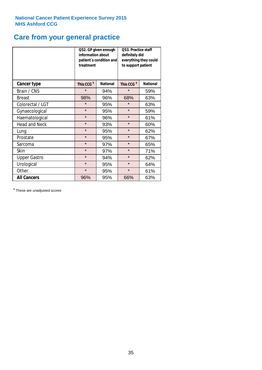# **Care from your general practice**

|                      | information about<br>treatment | Q52. GP given enough<br>patient's condition and | O53. Practice staff<br>definitely did<br>everything they could<br>to support patient |                 |  |
|----------------------|--------------------------------|-------------------------------------------------|--------------------------------------------------------------------------------------|-----------------|--|
| <b>Cancer type</b>   | This CCG <sup>\$</sup>         | <b>National</b>                                 | This CCG <sup>\$</sup>                                                               | <b>National</b> |  |
| Brain / CNS          | $\star$                        | 94%                                             | $\star$                                                                              | 59%             |  |
| <b>Breast</b>        | 98%                            | 96%                                             | 68%                                                                                  | 63%             |  |
| Colorectal / LGT     | $\star$                        | 95%                                             | $\star$                                                                              | 63%             |  |
| Gynaecological       | $\star$<br>95%                 |                                                 | $\star$                                                                              | 59%             |  |
| Haematological       | $\star$                        | 96%                                             | $\star$                                                                              | 61%             |  |
| <b>Head and Neck</b> | $\star$                        | 93%                                             | $\star$                                                                              | 60%             |  |
| Lung                 | $\star$                        | 95%                                             | $\star$                                                                              | 62%             |  |
| Prostate             | $\star$                        | 95%                                             | $\star$                                                                              | 67%             |  |
| Sarcoma              | $\star$                        | 97%                                             | $\star$                                                                              | 65%             |  |
| Skin                 | $\star$                        | 97%                                             | $\star$                                                                              | 71%             |  |
| <b>Upper Gastro</b>  | $\star$                        | 94%                                             | $\star$                                                                              | 62%             |  |
| Urological           | $\star$                        | 95%                                             | $\star$                                                                              | 64%             |  |
| Other                | $\star$                        | 95%                                             | $\star$                                                                              | 61%             |  |
| <b>All Cancers</b>   | 96%                            | 95%                                             | 66%                                                                                  | 63%             |  |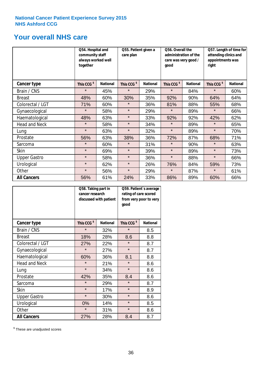### **Your overall NHS care**

|                      | Q54. Hospital and<br>community staff<br>always worked well<br>together |                 | Q55. Patient given a<br>care plan |                 | Q56. Overall the<br>administration of the<br>care was very good /<br>qood |                 | Q57. Length of time for<br>attending clinics and<br>appointments was<br>right |                 |
|----------------------|------------------------------------------------------------------------|-----------------|-----------------------------------|-----------------|---------------------------------------------------------------------------|-----------------|-------------------------------------------------------------------------------|-----------------|
| Cancer type          | This CCG <sup>\$</sup>                                                 | <b>National</b> | This CCG <sup>\$</sup>            | <b>National</b> | This CCG <sup>\$</sup>                                                    | <b>National</b> | This CCG <sup>\$</sup>                                                        | <b>National</b> |
| Brain / CNS          | $\star$                                                                | 45%             | $\star$                           | 29%             | $\star$                                                                   | 84%             | $\star$                                                                       | 60%             |
| <b>Breast</b>        | 48%                                                                    | 60%             | 30%                               | 35%             | 92%                                                                       | 90%             | 64%                                                                           | 64%             |
| Colorectal / LGT     | 71%                                                                    | 60%             | $\star$                           | 36%             | 81%                                                                       | 88%             | 55%                                                                           | 68%             |
| Gynaecological       | $\star$                                                                | 58%             | $\star$                           | 29%             | $\star$                                                                   | 89%             | $\star$                                                                       | 66%             |
| Haematological       | 48%                                                                    | 63%             | $\star$                           | 33%             | 92%                                                                       | 92%             | 42%                                                                           | 62%             |
| <b>Head and Neck</b> | $\star$                                                                | 58%             | $\star$                           | 34%             | $\star$                                                                   | 89%             | $\star$                                                                       | 65%             |
| Lung                 | $\star$                                                                | 63%             | $\star$                           | 32%             | $\star$                                                                   | 89%             | $\star$                                                                       | 70%             |
| Prostate             | 56%                                                                    | 63%             | 38%                               | 36%             | 72%                                                                       | 87%             | 68%                                                                           | 71%             |
| Sarcoma              | $\star$                                                                | 60%             | $\star$                           | 31%             | $\star$                                                                   | 90%             | $\star$                                                                       | 63%             |
| Skin                 | $\star$                                                                | 69%             | $\star$                           | 39%             | $\star$                                                                   | 89%             | $\star$                                                                       | 73%             |
| <b>Upper Gastro</b>  | $\star$                                                                | 58%             | $\star$                           | 36%             | $\star$                                                                   | 88%             | $\star$                                                                       | 66%             |
| Urological           | $\star$                                                                | 62%             | $\star$                           | 26%             | 76%                                                                       | 84%             | 59%                                                                           | 73%             |
| Other                | $\star$                                                                | 56%             | $\star$                           | 29%             | $\star$                                                                   | 87%             | $\star$                                                                       | 61%             |
| <b>All Cancers</b>   | 56%                                                                    | 61%             | 24%                               | 33%             | 86%                                                                       | 89%             | 60%                                                                           | 66%             |

|                      | Q58. Taking part in<br>cancer research | discussed with patient | Q59. Patient's average<br>rating of care scored<br>from very poor to very<br>good |                 |  |
|----------------------|----------------------------------------|------------------------|-----------------------------------------------------------------------------------|-----------------|--|
| <b>Cancer type</b>   | This CCG <sup>\$</sup>                 | <b>National</b>        | This CCG <sup>\$</sup>                                                            | <b>National</b> |  |
| Brain / CNS          | $\star$                                | 32%                    | $\star$                                                                           | 8.5             |  |
| <b>Breast</b>        | 18%                                    | 28%                    | 8.6                                                                               | 8.8             |  |
| Colorectal / LGT     | 27%                                    | 22%                    | $\star$                                                                           | 8.7             |  |
| Gynaecological       | $\star$                                | 27%                    | $\star$                                                                           | 8.7             |  |
| Haematological       | 60%                                    | 36%                    | 8.1                                                                               | 8.8             |  |
| <b>Head and Neck</b> | $\star$                                | 21%                    | $\star$                                                                           | 8.6             |  |
| Lung                 | $\star$                                | 34%                    | $\star$                                                                           | 8.6             |  |
| Prostate             | 42%                                    | 35%                    | 8.4                                                                               | 8.6             |  |
| Sarcoma              | $\star$                                | 29%                    | $\star$                                                                           | 8.7             |  |
| Skin                 | $\star$                                | 17%                    | $\star$                                                                           | 8.9             |  |
| <b>Upper Gastro</b>  | $\star$                                | 30%                    | $\star$                                                                           | 8.6             |  |
| Urological           | 0%                                     | 14%                    | $\star$                                                                           | 8.5             |  |
| Other                | $\star$                                | 31%                    | $\star$                                                                           | 8.6             |  |
| <b>All Cancers</b>   | 27%                                    | 28%                    | 8.4                                                                               | 8.7             |  |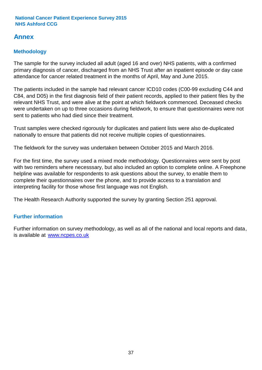### **Annex**

### **Methodology**

The sample for the survey included all adult (aged 16 and over) NHS patients, with a confirmed primary diagnosis of cancer, discharged from an NHS Trust after an inpatient episode or day case attendance for cancer related treatment in the months of April, May and June 2015.

The patients included in the sample had relevant cancer ICD10 codes (C00-99 excluding C44 and C84, and D05) in the first diagnosis field of their patient records, applied to their patient files by the relevant NHS Trust, and were alive at the point at which fieldwork commenced. Deceased checks were undertaken on up to three occasions during fieldwork, to ensure that questionnaires were not sent to patients who had died since their treatment.

Trust samples were checked rigorously for duplicates and patient lists were also de-duplicated nationally to ensure that patients did not receive multiple copies of questionnaires.

The fieldwork for the survey was undertaken between October 2015 and March 2016.

For the first time, the survey used a mixed mode methodology. Questionnaires were sent by post with two reminders where necesssary, but also included an option to complete online. A Freephone helpline was available for respondents to ask questions about the survey, to enable them to complete their questionnaires over the phone, and to provide access to a translation and interpreting facility for those whose first language was not English.

The Health Research Authority supported the survey by granting Section 251 approval.

#### **Further information**

Further information on survey methodology, as well as all of the national and local reports and data, is available at www.ncpes.co.uk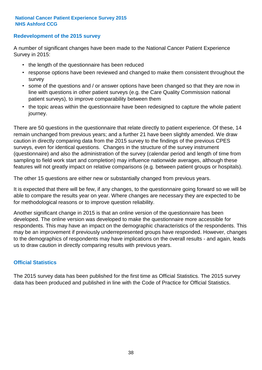#### **Redevelopment of the 2015 survey**

A number of significant changes have been made to the National Cancer Patient Experience Survey in 2015:

- the length of the questionnaire has been reduced
- response options have been reviewed and changed to make them consistent throughout the survey
- some of the questions and / or answer options have been changed so that they are now in line with questions in other patient surveys (e.g. the Care Quality Commission national patient surveys), to improve comparability between them
- the topic areas within the questionnaire have been redesigned to capture the whole patient journey.

There are 50 questions in the questionnaire that relate directly to patient experience. Of these, 14 remain unchanged from previous years; and a further 21 have been slightly amended. We draw caution in directly comparing data from the 2015 survey to the findings of the previous CPES surveys, even for identical questions. Changes in the structure of the survey instrument (questionnaire) and also the administration of the survey (calendar period and length of time from sampling to field work start and completion) may influence nationwide averages, although these features will not greatly impact on relative comparisons (e.g. between patient groups or hospitals).

The other 15 questions are either new or substantially changed from previous years.

It is expected that there will be few, if any changes, to the questionnaire going forward so we will be able to compare the results year on year. Where changes are necessary they are expected to be for methodological reasons or to improve question reliability.

Another significant change in 2015 is that an online version of the questionnaire has been developed. The online version was developed to make the questionnaire more accessible for respondents. This may have an impact on the demographic characteristics of the respondents. This may be an improvement if previously underrepresented groups have responded. However, changes to the demographics of respondents may have implications on the overall results - and again, leads us to draw caution in directly comparing results with previous years.

#### **Official Statistics**

The 2015 survey data has been published for the first time as Official Statistics. The 2015 survey data has been produced and published in line with the Code of Practice for Official Statistics.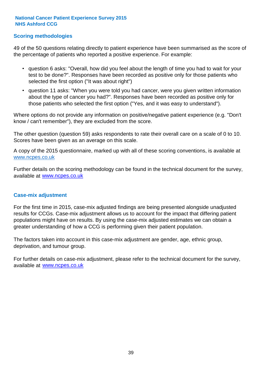#### **Scoring methodologies**

49 of the 50 questions relating directly to patient experience have been summarised as the score of the percentage of patients who reported a positive experience. For example:

- question 6 asks: "Overall, how did you feel about the length of time you had to wait for your test to be done?". Responses have been recorded as positive only for those patients who selected the first option ("It was about right")
- question 11 asks: "When you were told you had cancer, were you given written information about the type of cancer you had?". Responses have been recorded as positive only for those patients who selected the first option ("Yes, and it was easy to understand").

Where options do not provide any information on positive/negative patient experience (e.g. "Don't know / can't remember"), they are excluded from the score.

The other question (question 59) asks respondents to rate their overall care on a scale of 0 to 10. Scores have been given as an average on this scale.

A copy of the 2015 questionnaire, marked up with all of these scoring conventions, is available at www.ncpes.co.uk

Further details on the scoring methodology can be found in the technical document for the survey, available at <u>www.ncpes.co.uk</u>

#### **Case-mix adjustment**

For the first time in 2015, case-mix adjusted findings are being presented alongside unadjusted results for CCGs. Case-mix adjustment allows us to account for the impact that differing patient populations might have on results. By using the case-mix adjusted estimates we can obtain a greater understanding of how a CCG is performing given their patient population.

The factors taken into account in this case-mix adjustment are gender, age, ethnic group, deprivation, and tumour group.

For further details on case-mix adjustment, please refer to the technical document for the survey, available at www.ncpes.co.uk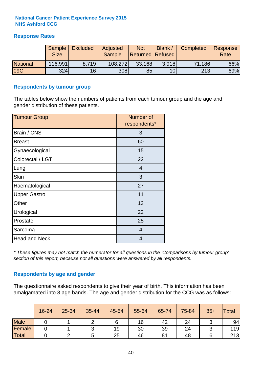#### **Response Rates**

|                 | Sample<br><b>Size</b> | <b>Excluded</b> | <b>Adjusted</b><br><b>Sample</b> | <b>Not</b><br><b>Returned Refused</b> | Blank           | <b>Completed</b> | Response<br>Rate |
|-----------------|-----------------------|-----------------|----------------------------------|---------------------------------------|-----------------|------------------|------------------|
| <b>National</b> | 116,991               | 8.719           | 108,272                          | 33,168                                | 3.918           | 71,186           | 66%              |
| 09C             | 324                   | 16              | 308                              | 85                                    | 10 <sub>l</sub> | 213              | 69%              |

#### **Respondents by tumour group**

The tables below show the numbers of patients from each tumour group and the age and gender distribution of these patients.

| <b>Tumour Group</b>  | Number of<br>respondents* |
|----------------------|---------------------------|
| Brain / CNS          | 3                         |
| <b>Breast</b>        | 60                        |
| Gynaecological       | 15                        |
| Colorectal / LGT     | 22                        |
| Lung                 | 4                         |
| <b>Skin</b>          | 3                         |
| Haematological       | 27                        |
| <b>Upper Gastro</b>  | 11                        |
| Other                | 13                        |
| Urological           | 22                        |
| Prostate             | 25                        |
| Sarcoma              | $\overline{4}$            |
| <b>Head and Neck</b> | 4                         |

*\* These figures may not match the numerator for all questions in the 'Comparisons by tumour group' section of this report, because not all questions were answered by all respondents.*

#### **Respondents by age and gender**

The questionnaire asked respondents to give their year of birth. This information has been amalgamated into 8 age bands. The age and gender distribution for the CCG was as follows:

|             | 16-24 | 25-34 | 35-44 | 45-54 | 55-64 | 65-74 | 75-84 | $85+$ | <b>Total</b> |
|-------------|-------|-------|-------|-------|-------|-------|-------|-------|--------------|
| <b>Male</b> |       |       |       |       | 16    | 42    | 24    |       | 94           |
| Female      |       |       |       | 19    | 30    | 39    | 24    |       | 119          |
| Total       |       |       | ∽     | 25    | 46    | 81    | 48    |       | 213          |